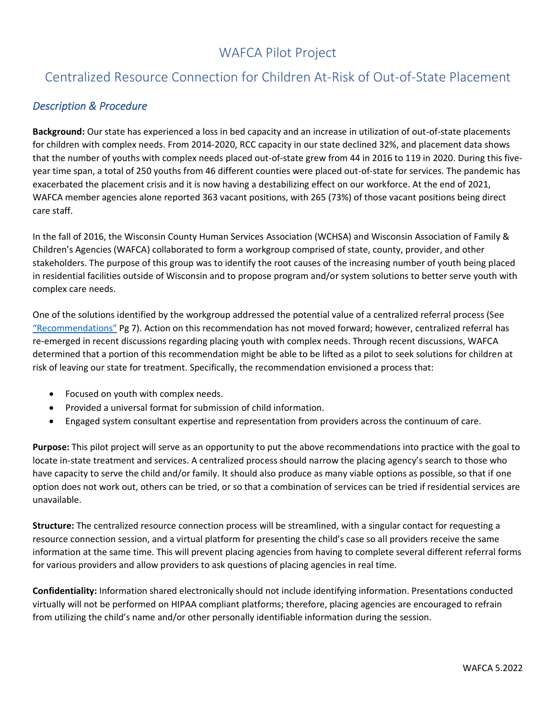## WAFCA Pilot Project

## Centralized Resource Connection for Children At-Risk of Out-of-State Placement

## *Description & Procedure*

**Background:** Our state has experienced a loss in bed capacity and an increase in utilization of out-of-state placements for children with complex needs. From 2014-2020, RCC capacity in our state declined 32%, and placement data shows that the number of youths with complex needs placed out-of-state grew from 44 in 2016 to 119 in 2020. During this fiveyear time span, a total of 250 youths from 46 different counties were placed out-of-state for services. The pandemic has exacerbated the placement crisis and it is now having a destabilizing effect on our workforce. At the end of 2021, WAFCA member agencies alone reported 363 vacant positions, with 265 (73%) of those vacant positions being direct care staff.

In the fall of 2016, the Wisconsin County Human Services Association (WCHSA) and Wisconsin Association of Family & Children's Agencies (WAFCA) collaborated to form a workgroup comprised of state, county, provider, and other stakeholders. The purpose of this group was to identify the root causes of the increasing number of youth being placed in residential facilities outside of Wisconsin and to propose program and/or system solutions to better serve youth with complex care needs.

One of the solutions identified by the workgroup addressed the potential value of a centralized referral process (See ["Recommendations"](https://wafca.memberclicks.net/assets/docs/FINAL%20Residential%20Recommendations%20from%20Workgroup%20on%20Children%20with%20Complex%20Care%20Needs%202.22.18.docx.pdf) Pg 7). Action on this recommendation has not moved forward; however, centralized referral has re-emerged in recent discussions regarding placing youth with complex needs. Through recent discussions, WAFCA determined that a portion of this recommendation might be able to be lifted as a pilot to seek solutions for children at risk of leaving our state for treatment. Specifically, the recommendation envisioned a process that:

- Focused on youth with complex needs.
- Provided a universal format for submission of child information.
- Engaged system consultant expertise and representation from providers across the continuum of care.

**Purpose:** This pilot project will serve as an opportunity to put the above recommendations into practice with the goal to locate in-state treatment and services. A centralized process should narrow the placing agency's search to those who have capacity to serve the child and/or family. It should also produce as many viable options as possible, so that if one option does not work out, others can be tried, or so that a combination of services can be tried if residential services are unavailable.

**Structure:** The centralized resource connection process will be streamlined, with a singular contact for requesting a resource connection session, and a virtual platform for presenting the child's case so all providers receive the same information at the same time. This will prevent placing agencies from having to complete several different referral forms for various providers and allow providers to ask questions of placing agencies in real time.

**Confidentiality:** Information shared electronically should not include identifying information. Presentations conducted virtually will not be performed on HIPAA compliant platforms; therefore, placing agencies are encouraged to refrain from utilizing the child's name and/or other personally identifiable information during the session.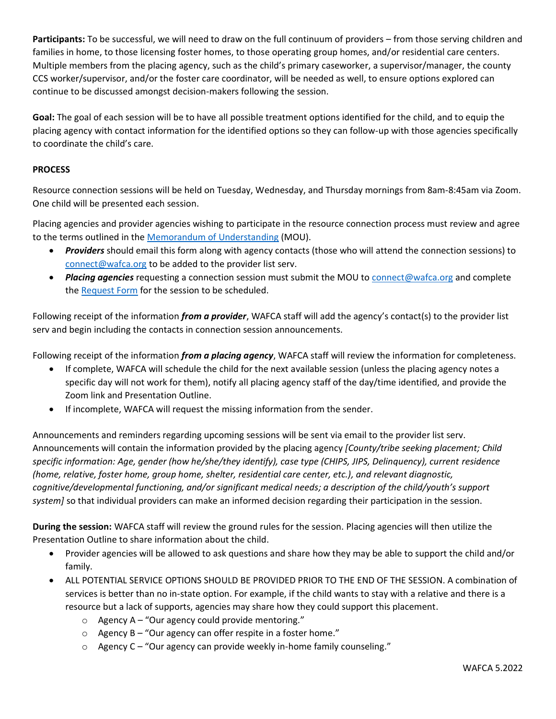**Participants:** To be successful, we will need to draw on the full continuum of providers – from those serving children and families in home, to those licensing foster homes, to those operating group homes, and/or residential care centers. Multiple members from the placing agency, such as the child's primary caseworker, a supervisor/manager, the county CCS worker/supervisor, and/or the foster care coordinator, will be needed as well, to ensure options explored can continue to be discussed amongst decision-makers following the session.

**Goal:** The goal of each session will be to have all possible treatment options identified for the child, and to equip the placing agency with contact information for the identified options so they can follow-up with those agencies specifically to coordinate the child's care.

## **PROCESS**

Resource connection sessions will be held on Tuesday, Wednesday, and Thursday mornings from 8am-8:45am via Zoom. One child will be presented each session.

Placing agencies and provider agencies wishing to participate in the resource connection process must review and agree to the terms outlined in the [Memorandum of Understanding](https://wafca.memberclicks.net/assets/docs/Resource_Connection/Memorandum%20of%20Understanding.pdf) (MOU).

- *Providers* should email this form along with agency contacts (those who will attend the connection sessions) to [connect@wafca.org](mailto:connect@wafca.org) to be added to the provider list serv.
- *Placing agencies* requesting a connection session must submit the MOU to **connect@wafca.org** and complete the [Request Form](https://forms.office.com/Pages/ResponsePage.aspx?id=JtEh7CP8CUy4GmiJXGDLNkujW9bcHphEt14HLqpd9R1UNUszOU9QSFIyNTJCTklXOEpIMjE4WkRVUi4u) for the session to be scheduled.

Following receipt of the information *from a provider*, WAFCA staff will add the agency's contact(s) to the provider list serv and begin including the contacts in connection session announcements.

Following receipt of the information *from a placing agency*, WAFCA staff will review the information for completeness.

- If complete, WAFCA will schedule the child for the next available session (unless the placing agency notes a specific day will not work for them), notify all placing agency staff of the day/time identified, and provide the Zoom link and Presentation Outline.
- If incomplete, WAFCA will request the missing information from the sender.

Announcements and reminders regarding upcoming sessions will be sent via email to the provider list serv. Announcements will contain the information provided by the placing agency *[County/tribe seeking placement; Child specific information: Age, gender (how he/she/they identify), case type (CHIPS, JIPS, Delinquency), current residence (home, relative, foster home, group home, shelter, residential care center, etc.), and relevant diagnostic, cognitive/developmental functioning, and/or significant medical needs; a description of the child/youth's support system]* so that individual providers can make an informed decision regarding their participation in the session.

**During the session:** WAFCA staff will review the ground rules for the session. Placing agencies will then utilize the Presentation Outline to share information about the child.

- Provider agencies will be allowed to ask questions and share how they may be able to support the child and/or family.
- ALL POTENTIAL SERVICE OPTIONS SHOULD BE PROVIDED PRIOR TO THE END OF THE SESSION. A combination of services is better than no in-state option. For example, if the child wants to stay with a relative and there is a resource but a lack of supports, agencies may share how they could support this placement.
	- $\circ$  Agency A "Our agency could provide mentoring."
	- $\circ$  Agency B "Our agency can offer respite in a foster home."
	- o Agency C "Our agency can provide weekly in-home family counseling."